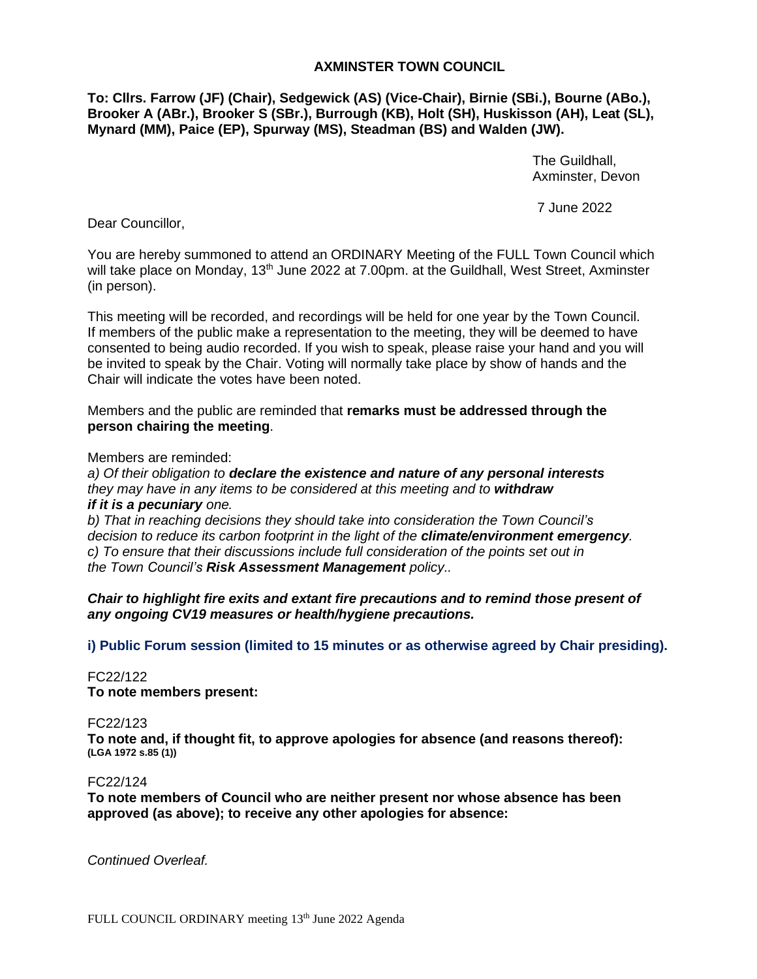## **AXMINSTER TOWN COUNCIL**

**To: Cllrs. Farrow (JF) (Chair), Sedgewick (AS) (Vice-Chair), Birnie (SBi.), Bourne (ABo.), Brooker A (ABr.), Brooker S (SBr.), Burrough (KB), Holt (SH), Huskisson (AH), Leat (SL), Mynard (MM), Paice (EP), Spurway (MS), Steadman (BS) and Walden (JW).**

> The Guildhall, Axminster, Devon

7 June 2022

Dear Councillor,

You are hereby summoned to attend an ORDINARY Meeting of the FULL Town Council which will take place on Monday, 13<sup>th</sup> June 2022 at 7.00pm. at the Guildhall, West Street, Axminster (in person).

This meeting will be recorded, and recordings will be held for one year by the Town Council. If members of the public make a representation to the meeting, they will be deemed to have consented to being audio recorded. If you wish to speak, please raise your hand and you will be invited to speak by the Chair. Voting will normally take place by show of hands and the Chair will indicate the votes have been noted.

Members and the public are reminded that **remarks must be addressed through the person chairing the meeting**.

Members are reminded:

*a) Of their obligation to declare the existence and nature of any personal interests they may have in any items to be considered at this meeting and to withdraw if it is a pecuniary one.* 

*b) That in reaching decisions they should take into consideration the Town Council's decision to reduce its carbon footprint in the light of the climate/environment emergency. c) To ensure that their discussions include full consideration of the points set out in the Town Council's Risk Assessment Management policy..*

*Chair to highlight fire exits and extant fire precautions and to remind those present of any ongoing CV19 measures or health/hygiene precautions.*

**i) Public Forum session (limited to 15 minutes or as otherwise agreed by Chair presiding).**

FC22/122 **To note members present:**

FC22/123

**To note and, if thought fit, to approve apologies for absence (and reasons thereof): (LGA 1972 s.85 (1))**

FC22/124

**To note members of Council who are neither present nor whose absence has been approved (as above); to receive any other apologies for absence:**

*Continued Overleaf.*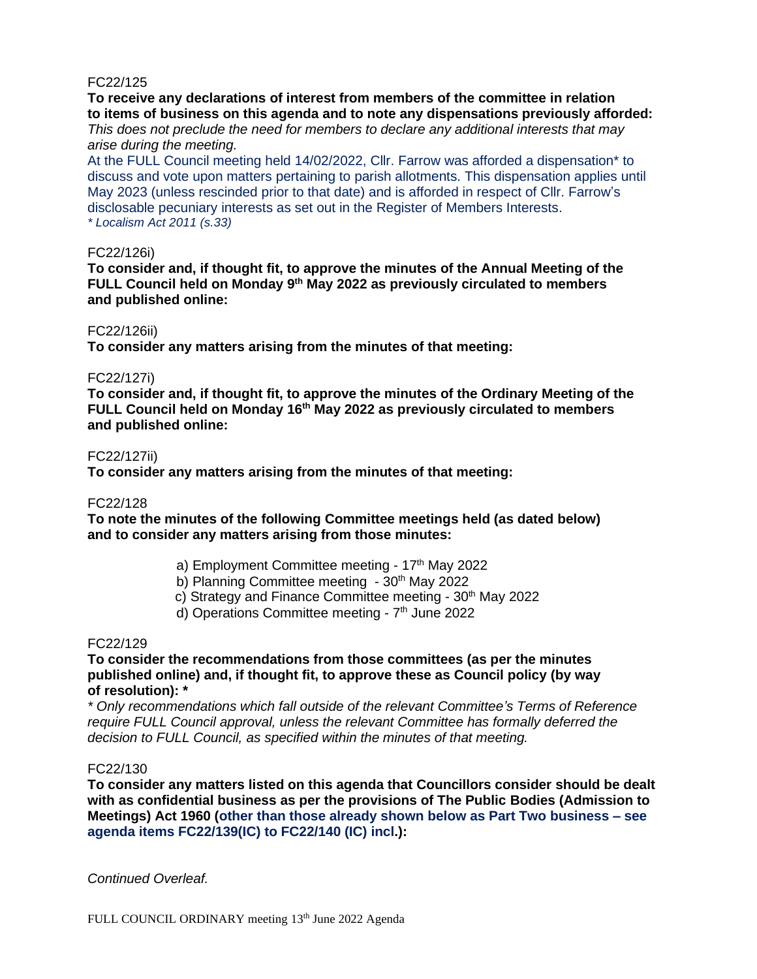## FC22/125

**To receive any declarations of interest from members of the committee in relation to items of business on this agenda and to note any dispensations previously afforded:** *This does not preclude the need for members to declare any additional interests that may arise during the meeting.*

At the FULL Council meeting held 14/02/2022, Cllr. Farrow was afforded a dispensation\* to discuss and vote upon matters pertaining to parish allotments. This dispensation applies until May 2023 (unless rescinded prior to that date) and is afforded in respect of Cllr. Farrow's disclosable pecuniary interests as set out in the Register of Members Interests. *\* Localism Act 2011 (s.33)*

## FC22/126i)

**To consider and, if thought fit, to approve the minutes of the Annual Meeting of the FULL Council held on Monday 9 th May 2022 as previously circulated to members and published online:**

### FC22/126ii)

**To consider any matters arising from the minutes of that meeting:**

### FC22/127i)

**To consider and, if thought fit, to approve the minutes of the Ordinary Meeting of the FULL Council held on Monday 16th May 2022 as previously circulated to members and published online:**

### FC22/127ii)

**To consider any matters arising from the minutes of that meeting:**

#### FC22/128

**To note the minutes of the following Committee meetings held (as dated below) and to consider any matters arising from those minutes:**

- a) Employment Committee meeting 17<sup>th</sup> May 2022
- b) Planning Committee meeting 30<sup>th</sup> May 2022
- c) Strategy and Finance Committee meeting 30<sup>th</sup> May 2022
- d) Operations Committee meeting 7<sup>th</sup> June 2022

#### FC22/129

**To consider the recommendations from those committees (as per the minutes published online) and, if thought fit, to approve these as Council policy (by way of resolution): \***

*\* Only recommendations which fall outside of the relevant Committee's Terms of Reference require FULL Council approval, unless the relevant Committee has formally deferred the decision to FULL Council, as specified within the minutes of that meeting.*

## FC22/130

**To consider any matters listed on this agenda that Councillors consider should be dealt with as confidential business as per the provisions of The Public Bodies (Admission to Meetings) Act 1960 (other than those already shown below as Part Two business – see agenda items FC22/139(IC) to FC22/140 (IC) incl.):**

*Continued Overleaf.*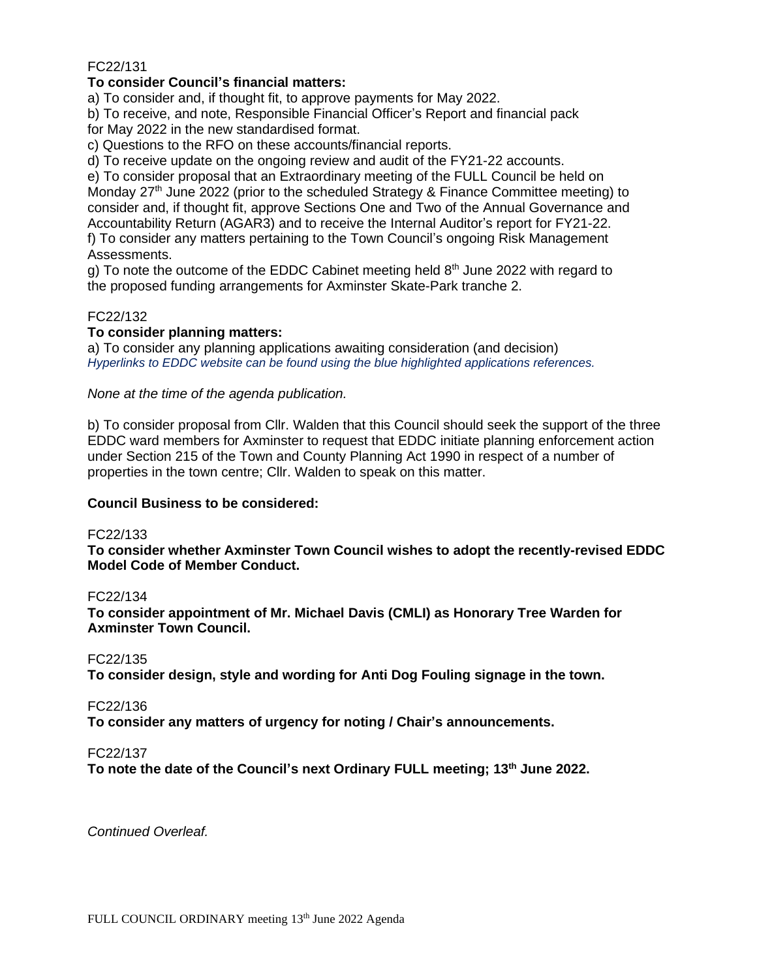## FC22/131

## **To consider Council's financial matters:**

a) To consider and, if thought fit, to approve payments for May 2022.

b) To receive, and note, Responsible Financial Officer's Report and financial pack for May 2022 in the new standardised format.

c) Questions to the RFO on these accounts/financial reports.

d) To receive update on the ongoing review and audit of the FY21-22 accounts.

e) To consider proposal that an Extraordinary meeting of the FULL Council be held on Monday  $27<sup>th</sup>$  June 2022 (prior to the scheduled Strategy & Finance Committee meeting) to consider and, if thought fit, approve Sections One and Two of the Annual Governance and Accountability Return (AGAR3) and to receive the Internal Auditor's report for FY21-22. f) To consider any matters pertaining to the Town Council's ongoing Risk Management Assessments.

g) To note the outcome of the EDDC Cabinet meeting held  $8<sup>th</sup>$  June 2022 with regard to the proposed funding arrangements for Axminster Skate-Park tranche 2.

## FC22/132

## **To consider planning matters:**

a) To consider any planning applications awaiting consideration (and decision) *Hyperlinks to EDDC website can be found using the blue highlighted applications references.*

*None at the time of the agenda publication.*

b) To consider proposal from Cllr. Walden that this Council should seek the support of the three EDDC ward members for Axminster to request that EDDC initiate planning enforcement action under Section 215 of the Town and County Planning Act 1990 in respect of a number of properties in the town centre; Cllr. Walden to speak on this matter.

**Council Business to be considered:**

## FC22/133

**To consider whether Axminster Town Council wishes to adopt the recently-revised EDDC Model Code of Member Conduct.**

## FC22/134

**To consider appointment of Mr. Michael Davis (CMLI) as Honorary Tree Warden for Axminster Town Council.**

## FC22/135

**To consider design, style and wording for Anti Dog Fouling signage in the town.**

FC22/136

**To consider any matters of urgency for noting / Chair's announcements.**

## FC22/137

**To note the date of the Council's next Ordinary FULL meeting; 13th June 2022.**

*Continued Overleaf.*